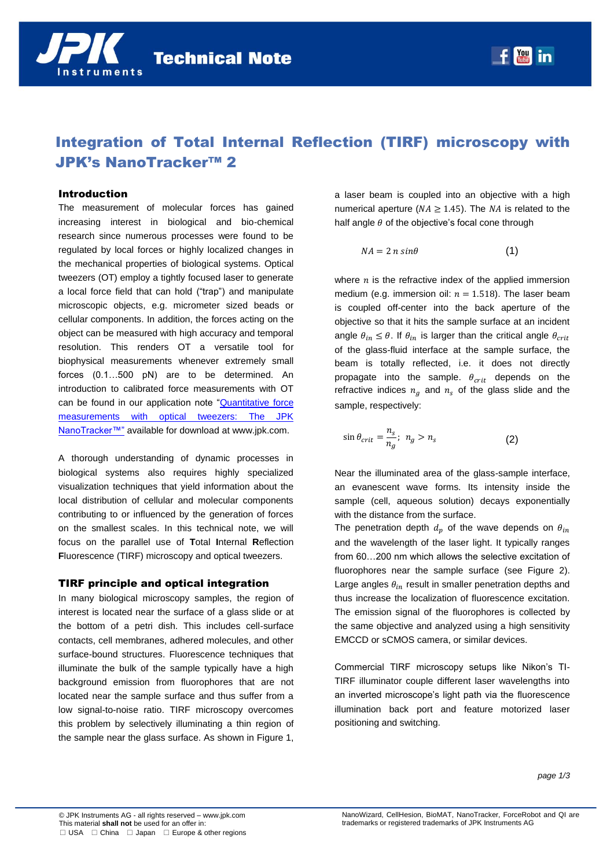

# Integration of Total Internal Reflection (TIRF) microscopy with JPK's NanoTracker™ 2

## Introduction

The measurement of molecular forces has gained increasing interest in biological and bio-chemical research since numerous processes were found to be regulated by local forces or highly localized changes in the mechanical properties of biological systems. Optical tweezers (OT) employ a tightly focused laser to generate a local force field that can hold ("trap") and manipulate microscopic objects, e.g. micrometer sized beads or cellular components. In addition, the forces acting on the object can be measured with high accuracy and temporal resolution. This renders OT a versatile tool for biophysical measurements whenever extremely small forces (0.1…500 pN) are to be determined. An introduction to calibrated force measurements with OT can be found in our application note ["Quantitative force](http://www.jpk.com/jpk-tech-nanotracker1.download.0b66fc653af1c87fda205fc63411fa0a)  [measurements with optical tweezers: The JPK](http://www.jpk.com/jpk-tech-nanotracker1.download.0b66fc653af1c87fda205fc63411fa0a)  [NanoTracker™"](http://www.jpk.com/jpk-tech-nanotracker1.download.0b66fc653af1c87fda205fc63411fa0a) available for download at www.jpk.com.

A thorough understanding of dynamic processes in biological systems also requires highly specialized visualization techniques that yield information about the local distribution of cellular and molecular components contributing to or influenced by the generation of forces on the smallest scales. In this technical note, we will focus on the parallel use of **T**otal **I**nternal **R**eflection **F**luorescence (TIRF) microscopy and optical tweezers.

## TIRF principle and optical integration

In many biological microscopy samples, the region of interest is located near the surface of a glass slide or at the bottom of a petri dish. This includes cell-surface contacts, cell membranes, adhered molecules, and other surface-bound structures. Fluorescence techniques that illuminate the bulk of the sample typically have a high background emission from fluorophores that are not located near the sample surface and thus suffer from a low signal-to-noise ratio. TIRF microscopy overcomes this problem by selectively illuminating a thin region of the sample near the glass surface. As shown in [Figure 1,](#page-1-0) 

a laser beam is coupled into an objective with a high numerical aperture ( $NA \ge 1.45$ ). The NA is related to the half angle  $\theta$  of the objective's focal cone through

$$
NA = 2 n \sin \theta \tag{1}
$$

where  $n$  is the refractive index of the applied immersion medium (e.g. immersion oil:  $n = 1.518$ ). The laser beam is coupled off-center into the back aperture of the objective so that it hits the sample surface at an incident angle  $\theta_{in} \leq \theta$ . If  $\theta_{in}$  is larger than the critical angle  $\theta_{crit}$ of the glass-fluid interface at the sample surface, the beam is totally reflected, i.e. it does not directly propagate into the sample.  $\theta_{crit}$  depends on the refractive indices  $n_a$  and  $n_s$  of the glass slide and the sample, respectively:

$$
\sin \theta_{crit} = \frac{n_s}{n_g}; \ n_g > n_s \tag{2}
$$

Near the illuminated area of the glass-sample interface, an evanescent wave forms. Its intensity inside the sample (cell, aqueous solution) decays exponentially with the distance from the surface.

The penetration depth  $d_p$  of the wave depends on  $\theta_{in}$ and the wavelength of the laser light. It typically ranges from 60…200 nm which allows the selective excitation of fluorophores near the sample surface (see Figure 2). Large angles  $\theta_{in}$  result in smaller penetration depths and thus increase the localization of fluorescence excitation. The emission signal of the fluorophores is collected by the same objective and analyzed using a high sensitivity EMCCD or sCMOS camera, or similar devices.

Commercial TIRF microscopy setups like Nikon's TI-TIRF illuminator couple different laser wavelengths into an inverted microscope's light path via the fluorescence illumination back port and feature motorized laser positioning and switching.

*page 1/3*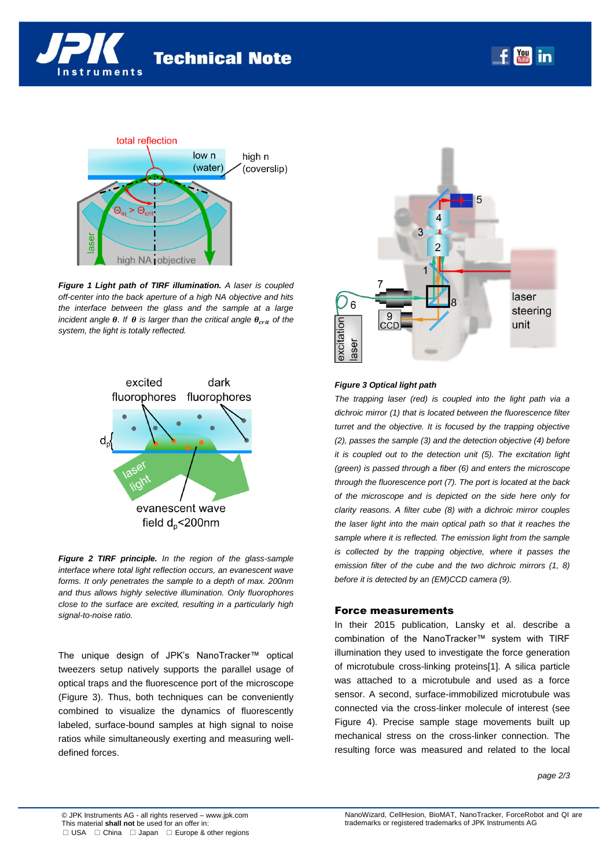



<span id="page-1-0"></span>*Figure 1 Light path of TIRF illumination. A laser is coupled off-center into the back aperture of a high NA objective and hits the interface between the glass and the sample at a large incident angle*  $\theta$ *. If*  $\theta$  *is larger than the critical angle*  $\theta_{crit}$  *of the system, the light is totally reflected.* 



*Figure 2 TIRF principle. In the region of the glass-sample interface where total light reflection occurs, an evanescent wave forms. It only penetrates the sample to a depth of max. 200nm and thus allows highly selective illumination. Only fluorophores close to the surface are excited, resulting in a particularly high signal-to-noise ratio.*

The unique design of JPK's NanoTracker™ optical tweezers setup natively supports the parallel usage of optical traps and the fluorescence port of the microscope [\(Figure 3\)](#page-1-1). Thus, both techniques can be conveniently combined to visualize the dynamics of fluorescently labeled, surface-bound samples at high signal to noise ratios while simultaneously exerting and measuring welldefined forces.



#### <span id="page-1-1"></span>*Figure 3 Optical light path*

*The trapping laser (red) is coupled into the light path via a dichroic mirror (1) that is located between the fluorescence filter turret and the objective. It is focused by the trapping objective (2), passes the sample (3) and the detection objective (4) before it is coupled out to the detection unit (5). The excitation light (green) is passed through a fiber (6) and enters the microscope through the fluorescence port (7). The port is located at the back of the microscope and is depicted on the side here only for clarity reasons. A filter cube (8) with a dichroic mirror couples the laser light into the main optical path so that it reaches the sample where it is reflected. The emission light from the sample is collected by the trapping objective, where it passes the emission filter of the cube and the two dichroic mirrors (1, 8) before it is detected by an (EM)CCD camera (9).*

#### Force measurements

In their 2015 publication, Lansky et al. describe a combination of the NanoTracker™ system with TIRF illumination they used to investigate the force generation of microtubule cross-linking proteins[1]. A silica particle was attached to a microtubule and used as a force sensor. A second, surface-immobilized microtubule was connected via the cross-linker molecule of interest (see Figure 4). Precise sample stage movements built up mechanical stress on the cross-linker connection. The resulting force was measured and related to the local

*page 2/3*